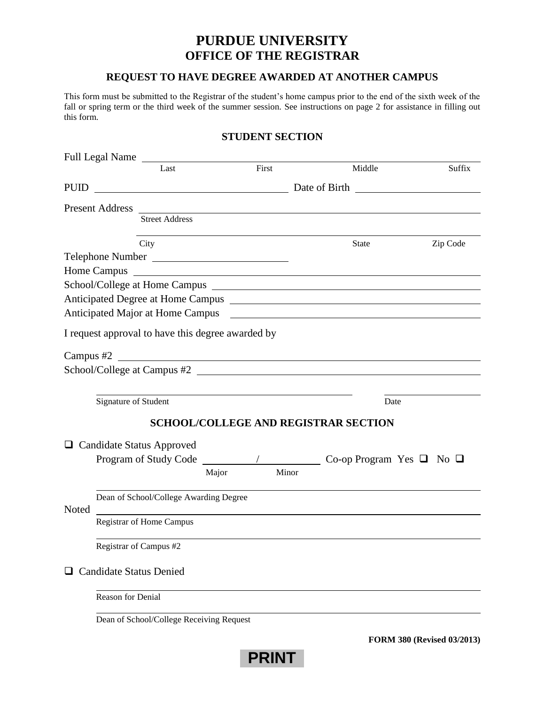## **PURDUE UNIVERSITY OFFICE OF THE REGISTRAR**

## **REQUEST TO HAVE DEGREE AWARDED AT ANOTHER CAMPUS**

This form must be submitted to the Registrar of the student's home campus prior to the end of the sixth week of the fall or spring term or the third week of the summer session. See instructions on page 2 for assistance in filling out this form.

## **STUDENT SECTION**

| Full Legal Name                                   |                                        |       |       |       |                                                                                                                                                                                                                                |          |  |  |
|---------------------------------------------------|----------------------------------------|-------|-------|-------|--------------------------------------------------------------------------------------------------------------------------------------------------------------------------------------------------------------------------------|----------|--|--|
|                                                   | Last                                   |       | First |       | Middle                                                                                                                                                                                                                         | Suffix   |  |  |
| <b>PUID</b>                                       |                                        |       |       |       |                                                                                                                                                                                                                                |          |  |  |
|                                                   |                                        |       |       |       |                                                                                                                                                                                                                                |          |  |  |
|                                                   | <b>Street Address</b>                  |       |       |       |                                                                                                                                                                                                                                |          |  |  |
|                                                   | City                                   |       |       |       | State                                                                                                                                                                                                                          | Zip Code |  |  |
| Telephone Number                                  |                                        |       |       |       |                                                                                                                                                                                                                                |          |  |  |
|                                                   |                                        |       |       |       | Home Campus Land and the Campus Land and the Campus Land and the Campus Land and the Campus Land and the Campus Land and the Campus Land and the Campus Land and the Campus Land and the Campus Land and the Campus Land and t |          |  |  |
|                                                   |                                        |       |       |       |                                                                                                                                                                                                                                |          |  |  |
|                                                   |                                        |       |       |       |                                                                                                                                                                                                                                |          |  |  |
|                                                   |                                        |       |       |       | Anticipated Major at Home Campus <b>contained a later and all the Campus contained a later and all the Campus</b>                                                                                                              |          |  |  |
|                                                   |                                        |       |       |       |                                                                                                                                                                                                                                |          |  |  |
| I request approval to have this degree awarded by |                                        |       |       |       |                                                                                                                                                                                                                                |          |  |  |
|                                                   |                                        |       |       |       |                                                                                                                                                                                                                                |          |  |  |
|                                                   |                                        |       |       |       | School/College at Campus #2                                                                                                                                                                                                    |          |  |  |
|                                                   |                                        |       |       |       |                                                                                                                                                                                                                                |          |  |  |
|                                                   | Signature of Student                   |       |       |       | Date                                                                                                                                                                                                                           |          |  |  |
|                                                   |                                        |       |       |       | <b>SCHOOL/COLLEGE AND REGISTRAR SECTION</b>                                                                                                                                                                                    |          |  |  |
|                                                   |                                        |       |       |       |                                                                                                                                                                                                                                |          |  |  |
| <b>Candidate Status Approved</b>                  |                                        |       |       |       |                                                                                                                                                                                                                                |          |  |  |
|                                                   |                                        |       |       |       |                                                                                                                                                                                                                                |          |  |  |
|                                                   |                                        | Major |       | Minor |                                                                                                                                                                                                                                |          |  |  |
|                                                   | Dean of School/College Awarding Degree |       |       |       |                                                                                                                                                                                                                                |          |  |  |
| Noted                                             |                                        |       |       |       |                                                                                                                                                                                                                                |          |  |  |
|                                                   | Registrar of Home Campus               |       |       |       |                                                                                                                                                                                                                                |          |  |  |
|                                                   |                                        |       |       |       |                                                                                                                                                                                                                                |          |  |  |
|                                                   | Registrar of Campus #2                 |       |       |       |                                                                                                                                                                                                                                |          |  |  |
| <b>Candidate Status Denied</b>                    |                                        |       |       |       |                                                                                                                                                                                                                                |          |  |  |
| Reason for Denial                                 |                                        |       |       |       |                                                                                                                                                                                                                                |          |  |  |

**PRINT**

**FORM 380 (Revised 03/2013)**